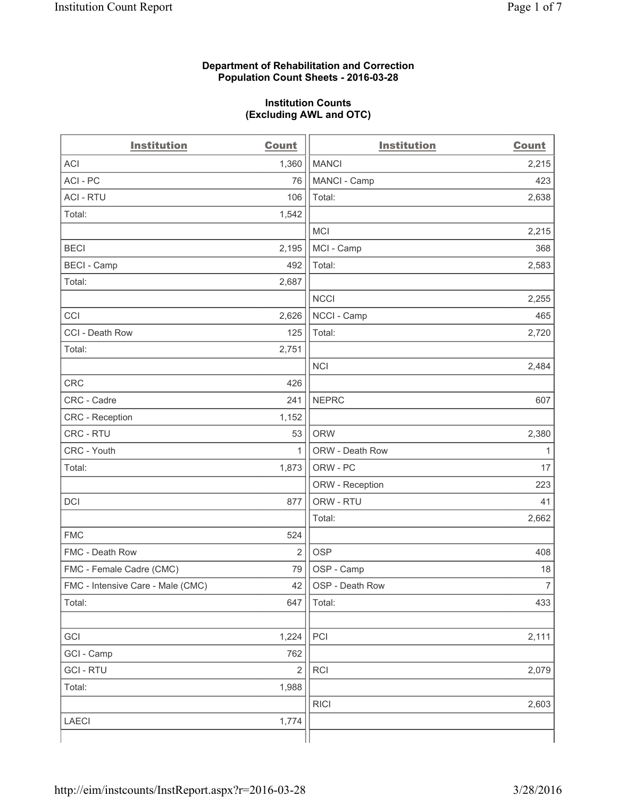# **Department of Rehabilitation and Correction Population Count Sheets - 2016-03-28**

# **Institution Counts (Excluding AWL and OTC)**

| <b>Institution</b>                | <b>Count</b>   | <b>Institution</b> | <b>Count</b>   |
|-----------------------------------|----------------|--------------------|----------------|
| <b>ACI</b>                        | 1,360          | <b>MANCI</b>       | 2,215          |
| ACI-PC                            | 76             | MANCI - Camp       | 423            |
| <b>ACI - RTU</b>                  | 106            | Total:             | 2,638          |
| Total:                            | 1,542          |                    |                |
|                                   |                | <b>MCI</b>         | 2,215          |
| <b>BECI</b>                       | 2,195          | MCI - Camp         | 368            |
| <b>BECI - Camp</b>                | 492            | Total:             | 2,583          |
| Total:                            | 2,687          |                    |                |
|                                   |                | <b>NCCI</b>        | 2,255          |
| CCI                               | 2,626          | NCCI - Camp        | 465            |
| CCI - Death Row                   | 125            | Total:             | 2,720          |
| Total:                            | 2,751          |                    |                |
|                                   |                | <b>NCI</b>         | 2,484          |
| <b>CRC</b>                        | 426            |                    |                |
| CRC - Cadre                       | 241            | <b>NEPRC</b>       | 607            |
| CRC - Reception                   | 1,152          |                    |                |
| CRC - RTU                         | 53             | <b>ORW</b>         | 2,380          |
| CRC - Youth                       | 1              | ORW - Death Row    | 1              |
| Total:                            | 1,873          | ORW - PC           | 17             |
|                                   |                | ORW - Reception    | 223            |
| DCI                               | 877            | ORW - RTU          | 41             |
|                                   |                | Total:             | 2,662          |
| <b>FMC</b>                        | 524            |                    |                |
| FMC - Death Row                   | $\overline{2}$ | <b>OSP</b>         | 408            |
| FMC - Female Cadre (CMC)          | 79             | OSP - Camp         | 18             |
| FMC - Intensive Care - Male (CMC) | 42             | OSP - Death Row    | $\overline{7}$ |
| Total:                            | 647            | Total:             | 433            |
|                                   |                |                    |                |
| GCI                               | 1,224          | PCI                | 2,111          |
| GCI - Camp                        | 762            |                    |                |
| <b>GCI-RTU</b>                    | $\overline{2}$ | RCI                | 2,079          |
| Total:                            | 1,988          |                    |                |
|                                   |                | <b>RICI</b>        | 2,603          |
| <b>LAECI</b>                      | 1,774          |                    |                |
|                                   |                |                    |                |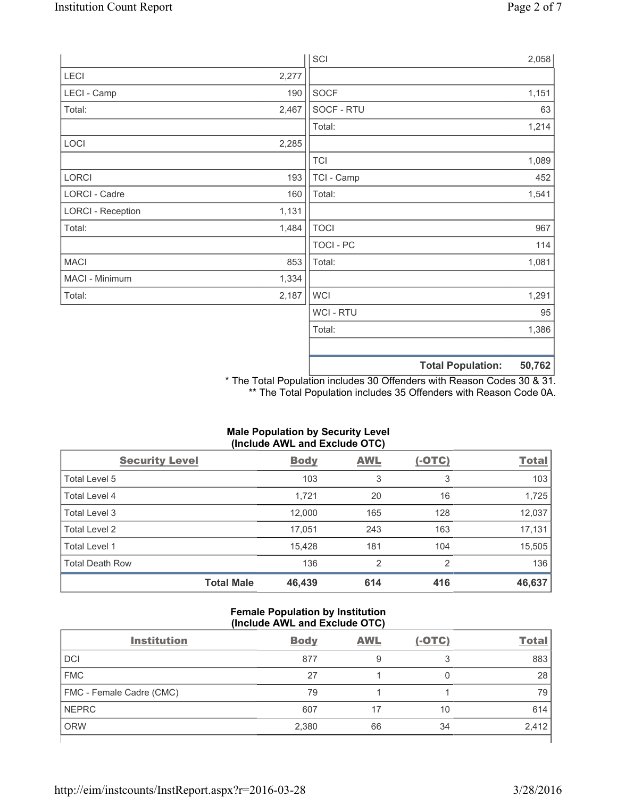|                          |       | SCI            |                          | 2,058  |
|--------------------------|-------|----------------|--------------------------|--------|
| LECI                     | 2,277 |                |                          |        |
| LECI - Camp              | 190   | SOCF           |                          | 1,151  |
| Total:                   | 2,467 | SOCF - RTU     |                          | 63     |
|                          |       | Total:         |                          | 1,214  |
| LOCI                     | 2,285 |                |                          |        |
|                          |       | <b>TCI</b>     |                          | 1,089  |
| LORCI                    | 193   | TCI - Camp     |                          | 452    |
| LORCI - Cadre            | 160   | Total:         |                          | 1,541  |
| <b>LORCI - Reception</b> | 1,131 |                |                          |        |
| Total:                   | 1,484 | <b>TOCI</b>    |                          | 967    |
|                          |       | TOCI - PC      |                          | 114    |
| <b>MACI</b>              | 853   | Total:         |                          | 1,081  |
| MACI - Minimum           | 1,334 |                |                          |        |
| Total:                   | 2,187 | <b>WCI</b>     |                          | 1,291  |
|                          |       | <b>WCI-RTU</b> |                          | 95     |
|                          |       | Total:         |                          | 1,386  |
|                          |       |                | <b>Total Population:</b> | 50,762 |

\* The Total Population includes 30 Offenders with Reason Codes 30 & 31. \*\* The Total Population includes 35 Offenders with Reason Code 0A.

# **Male Population by Security Level (Include AWL and Exclude OTC)**

| <b>Security Level</b>  |                   | <b>Body</b> | <b>AWL</b> | $(-OTC)$ | <b>Total</b> |
|------------------------|-------------------|-------------|------------|----------|--------------|
| Total Level 5          |                   | 103         | 3          | 3        | 103          |
| Total Level 4          |                   | 1,721       | 20         | 16       | 1,725        |
| Total Level 3          |                   | 12,000      | 165        | 128      | 12,037       |
| Total Level 2          |                   | 17,051      | 243        | 163      | 17,131       |
| Total Level 1          |                   | 15,428      | 181        | 104      | 15,505       |
| <b>Total Death Row</b> |                   | 136         | 2          | 2        | 136          |
|                        | <b>Total Male</b> | 46,439      | 614        | 416      | 46,637       |

# **Female Population by Institution (Include AWL and Exclude OTC)**

| <b>Institution</b>       | <b>Body</b> | <b>AWL</b> | $(-OTC)$ | <b>Total</b> |
|--------------------------|-------------|------------|----------|--------------|
| <b>DCI</b>               | 877         | 9          | っ        | 883          |
| <b>FMC</b>               | 27          |            |          | 28           |
| FMC - Female Cadre (CMC) | 79          |            |          | 79           |
| <b>NEPRC</b>             | 607         |            | 10       | 614          |
| <b>ORW</b>               | 2,380       | 66         | 34       | 2,412        |
|                          |             |            |          |              |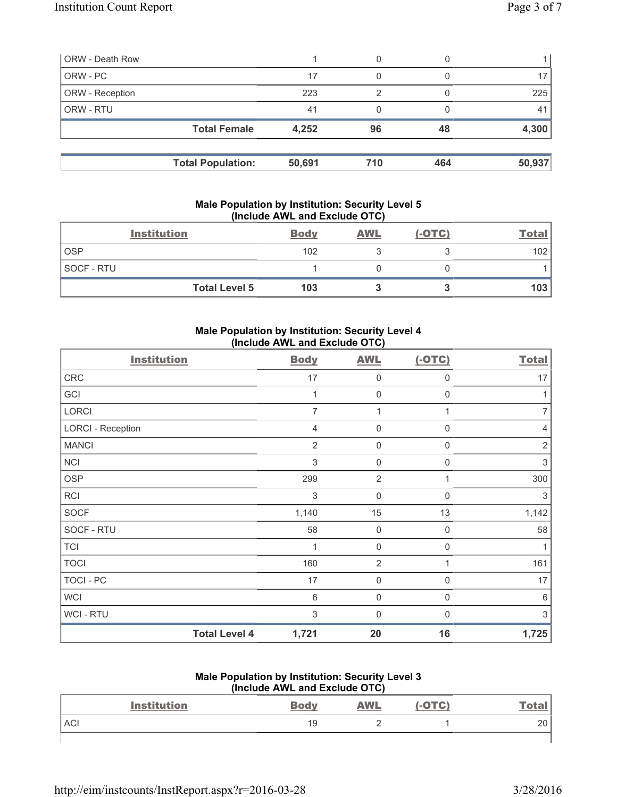| <b>ORW</b> - Death Row |                          |        | 0   |     |                |
|------------------------|--------------------------|--------|-----|-----|----------------|
| ORW - PC               |                          | 17     | 0   |     |                |
| ORW - Reception        |                          | 223    | っ   |     | 225            |
| ORW - RTU              |                          | 41     |     |     | 4 <sup>1</sup> |
|                        | <b>Total Female</b>      | 4,252  | 96  | 48  | 4,300          |
|                        |                          |        |     |     |                |
|                        | <b>Total Population:</b> | 50,691 | 710 | 464 | 50,937         |

# **Male Population by Institution: Security Level 5 (Include AWL and Exclude OTC)**

|            | <b>Institution</b>   | <b>Body</b> | <b>AWL</b> | $(-OTC)$ | <b>Total</b>     |
|------------|----------------------|-------------|------------|----------|------------------|
| <b>OSP</b> |                      | 102         |            |          | 102              |
| SOCF - RTU |                      |             |            |          |                  |
|            | <b>Total Level 5</b> | 103         |            |          | 103 <sup>1</sup> |

# **Male Population by Institution: Security Level 4 (Include AWL and Exclude OTC)**

| <b>Institution</b>       |                      | <b>Body</b>    | <b>AWL</b>          | $(-OTC)$         | <b>Total</b>              |
|--------------------------|----------------------|----------------|---------------------|------------------|---------------------------|
| CRC                      |                      | 17             | $\mathsf 0$         | 0                | 17                        |
| GCI                      |                      |                | $\mathbf 0$         | 0                | 1                         |
| LORCI                    |                      | 7              | 1                   | 1                | $\overline{7}$            |
| <b>LORCI - Reception</b> |                      | 4              | $\mathsf 0$         | 0                | $\overline{4}$            |
| <b>MANCI</b>             |                      | $\overline{2}$ | $\mathbf 0$         | $\mathsf 0$      | $\overline{2}$            |
| <b>NCI</b>               |                      | 3              | $\mathsf 0$         | 0                | 3                         |
| <b>OSP</b>               |                      | 299            | $\overline{2}$      | 1                | 300                       |
| <b>RCI</b>               |                      | 3              | $\mathsf 0$         | $\boldsymbol{0}$ | 3                         |
| <b>SOCF</b>              |                      | 1,140          | 15                  | 13               | 1,142                     |
| SOCF - RTU               |                      | 58             | $\mathbf 0$         | $\boldsymbol{0}$ | 58                        |
| <b>TCI</b>               |                      | 1              | $\mathsf{O}\xspace$ | $\mathsf 0$      | $\mathbf{1}$              |
| <b>TOCI</b>              |                      | 160            | $\overline{2}$      | 1                | 161                       |
| <b>TOCI - PC</b>         |                      | 17             | $\mathsf{O}\xspace$ | 0                | 17                        |
| <b>WCI</b>               |                      | 6              | $\mathsf{0}$        | 0                | 6                         |
| WCI - RTU                |                      | 3              | 0                   | 0                | $\ensuremath{\mathsf{3}}$ |
|                          | <b>Total Level 4</b> | 1,721          | 20                  | 16               | 1,725                     |

#### **Male Population by Institution: Security Level 3 (Include AWL and Exclude OTC)**

|            | THROUGHOUGHT AND LACTURE OT UP |             |            |        |               |  |  |
|------------|--------------------------------|-------------|------------|--------|---------------|--|--|
|            | <b>Institution</b>             | <b>Body</b> | <b>AWL</b> | (-OTC) | <u> Total</u> |  |  |
| <b>ACI</b> |                                | 19          |            |        | 20            |  |  |
|            |                                |             |            |        |               |  |  |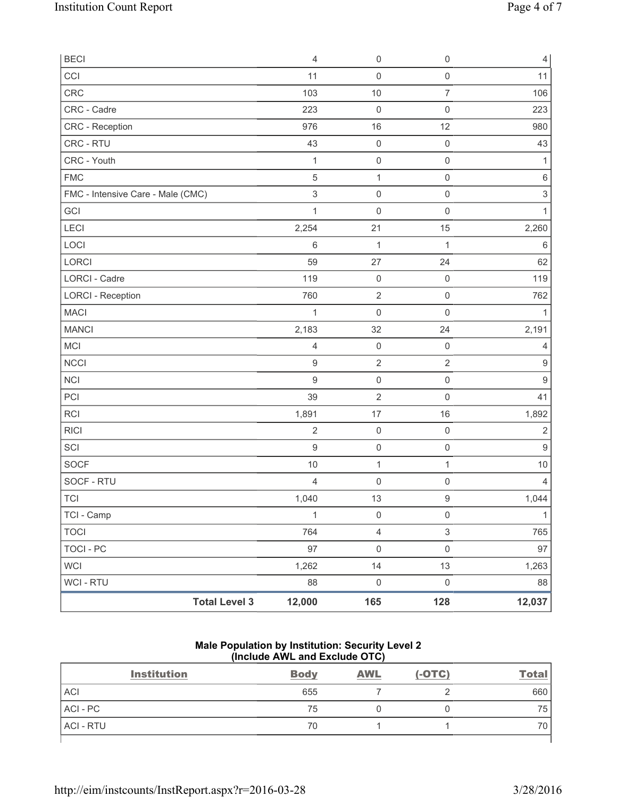| <b>BECI</b>                       |                      | $\overline{4}$            | $\mathbf 0$             | $\mathsf{O}\xspace$ | $\overline{4}$            |
|-----------------------------------|----------------------|---------------------------|-------------------------|---------------------|---------------------------|
| CCI                               |                      | 11                        | 0                       | $\mathsf{O}\xspace$ | 11                        |
| CRC                               |                      | 103                       | 10                      | $\overline{7}$      | 106                       |
| CRC - Cadre                       |                      | 223                       | $\mathbf 0$             | $\mathsf{O}\xspace$ | 223                       |
| CRC - Reception                   |                      | 976                       | 16                      | 12                  | 980                       |
| CRC - RTU                         |                      | 43                        | $\mathbf 0$             | $\mathsf{O}\xspace$ | 43                        |
| CRC - Youth                       |                      | $\mathbf{1}$              | $\mathbf 0$             | $\mathsf{O}\xspace$ | 1                         |
| <b>FMC</b>                        |                      | 5                         | $\mathbf{1}$            | $\mathsf{O}\xspace$ | 6                         |
| FMC - Intensive Care - Male (CMC) |                      | $\ensuremath{\mathsf{3}}$ | $\mathsf{O}\xspace$     | $\mathsf 0$         | $\ensuremath{\mathsf{3}}$ |
| GCI                               |                      | $\mathbf{1}$              | $\mathbf 0$             | $\mathsf{O}\xspace$ | 1                         |
| <b>LECI</b>                       |                      | 2,254                     | 21                      | 15                  | 2,260                     |
| LOCI                              |                      | 6                         | $\mathbf 1$             | $\mathbf{1}$        | $\,6\,$                   |
| <b>LORCI</b>                      |                      | 59                        | 27                      | 24                  | 62                        |
| <b>LORCI - Cadre</b>              |                      | 119                       | $\mathsf{O}\xspace$     | $\mathsf{O}\xspace$ | 119                       |
| <b>LORCI - Reception</b>          |                      | 760                       | $\overline{2}$          | $\mathsf{O}\xspace$ | 762                       |
| <b>MACI</b>                       |                      | 1                         | $\mathbf 0$             | $\mathsf{O}\xspace$ | 1                         |
| <b>MANCI</b>                      |                      | 2,183                     | 32                      | 24                  | 2,191                     |
| MCI                               |                      | 4                         | $\mathbf 0$             | $\mathsf{O}\xspace$ | 4                         |
| <b>NCCI</b>                       |                      | $\mathsf g$               | $\mathbf 2$             | $\mathbf 2$         | $\boldsymbol{9}$          |
| <b>NCI</b>                        |                      | $\mathsf g$               | $\mathsf{O}\xspace$     | $\mathsf{O}\xspace$ | $\boldsymbol{9}$          |
| PCI                               |                      | 39                        | $\overline{c}$          | $\mathbf 0$         | 41                        |
| RCI                               |                      | 1,891                     | 17                      | 16                  | 1,892                     |
| <b>RICI</b>                       |                      | $\overline{2}$            | $\mathbf 0$             | $\mathsf{O}\xspace$ | $\sqrt{2}$                |
| SCI                               |                      | $\mathsf 9$               | $\mathsf{O}\xspace$     | $\mathsf{O}\xspace$ | $\boldsymbol{9}$          |
| SOCF                              |                      | $10$                      | $\mathbf 1$             | $\mathbf{1}$        | 10                        |
| SOCF - RTU                        |                      | 4                         | $\mathbf 0$             | $\mathsf{O}\xspace$ | 4                         |
| <b>TCI</b>                        |                      | 1,040                     | 13                      | $\mathsf g$         | 1,044                     |
| TCI - Camp                        |                      | $\mathbf{1}$              | $\mathbf 0$             | $\mathsf{O}\xspace$ | $\mathbf{1}$              |
| <b>TOCI</b>                       |                      | 764                       | $\overline{\mathbf{4}}$ | $\mathfrak{S}$      | 765                       |
| <b>TOCI - PC</b>                  |                      | 97                        | $\mathsf{O}\xspace$     | $\mathsf{O}\xspace$ | 97                        |
| WCI                               |                      | 1,262                     | 14                      | 13                  | 1,263                     |
| WCI - RTU                         |                      | 88                        | $\pmb{0}$               | $\mathsf{O}\xspace$ | 88                        |
|                                   | <b>Total Level 3</b> | 12,000                    | 165                     | 128                 | 12,037                    |

# **Male Population by Institution: Security Level 2 (Include AWL and Exclude OTC)**

| <b>Institution</b> | <b>Body</b> | <b>AWL</b> | $(-OTC)$ | <b>Total</b> |
|--------------------|-------------|------------|----------|--------------|
| <b>ACI</b>         | 655         |            |          | 660          |
| ACI - PC           | 75          |            |          | 75           |
| <b>ACI - RTU</b>   | 70          |            |          | 70           |
|                    |             |            |          |              |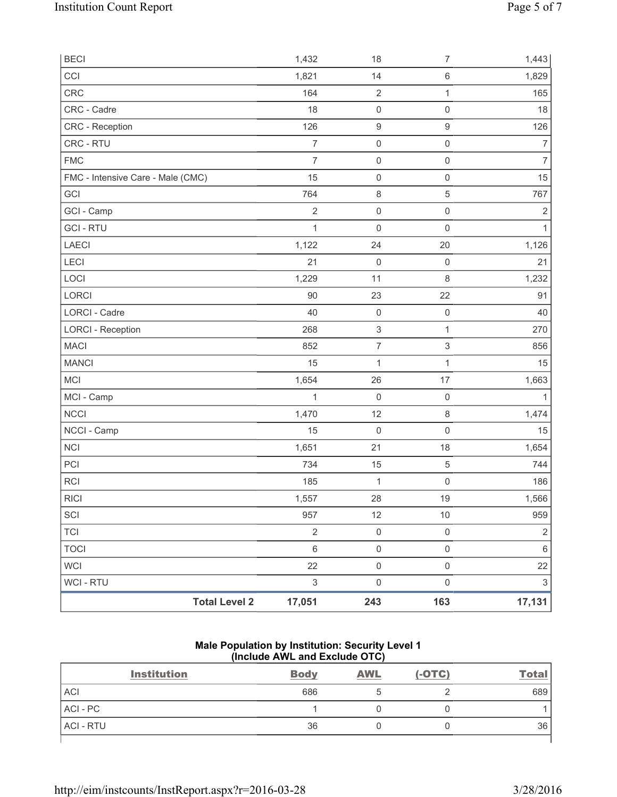| <b>BECI</b>                       |                      | 1,432                     | 18                        | 7                         | 1,443                     |
|-----------------------------------|----------------------|---------------------------|---------------------------|---------------------------|---------------------------|
| CCI                               |                      | 1,821                     | 14                        | $\,6\,$                   | 1,829                     |
| CRC                               |                      | 164                       | $\sqrt{2}$                | $\mathbf{1}$              | 165                       |
| CRC - Cadre                       |                      | 18                        | 0                         | $\mathsf 0$               | 18                        |
| CRC - Reception                   |                      | 126                       | $\boldsymbol{9}$          | $\hbox{9}$                | 126                       |
| CRC - RTU                         |                      | $\overline{7}$            | 0                         | $\mathsf{O}\xspace$       | $\overline{7}$            |
| <b>FMC</b>                        |                      | $\overline{7}$            | $\mathsf 0$               | $\mathsf 0$               | $\overline{7}$            |
| FMC - Intensive Care - Male (CMC) |                      | 15                        | $\mathsf{O}\xspace$       | $\mathsf{O}\xspace$       | 15                        |
| GCI                               |                      | 764                       | 8                         | 5                         | 767                       |
| GCI - Camp                        |                      | $\sqrt{2}$                | $\mathsf 0$               | $\mathsf{O}\xspace$       | $\sqrt{2}$                |
| <b>GCI-RTU</b>                    |                      | $\mathbf{1}$              | 0                         | $\mathsf{O}\xspace$       | $\mathbf{1}$              |
| LAECI                             |                      | 1,122                     | 24                        | 20                        | 1,126                     |
| <b>LECI</b>                       |                      | 21                        | $\mathsf{O}\xspace$       | $\mathsf 0$               | 21                        |
| LOCI                              |                      | 1,229                     | 11                        | $\,8\,$                   | 1,232                     |
| LORCI                             |                      | 90                        | 23                        | 22                        | 91                        |
| LORCI - Cadre                     |                      | 40                        | $\mathsf{O}\xspace$       | $\mathsf 0$               | 40                        |
| <b>LORCI - Reception</b>          |                      | 268                       | $\ensuremath{\mathsf{3}}$ | $\mathbf{1}$              | 270                       |
| <b>MACI</b>                       |                      | 852                       | $\boldsymbol{7}$          | $\ensuremath{\mathsf{3}}$ | 856                       |
| <b>MANCI</b>                      |                      | 15                        | 1                         | 1                         | 15                        |
| MCI                               |                      | 1,654                     | 26                        | 17                        | 1,663                     |
| MCI - Camp                        |                      | 1                         | 0                         | $\mathsf{O}\xspace$       |                           |
| NCCI                              |                      | 1,470                     | 12                        | $\,8\,$                   | 1,474                     |
| NCCI - Camp                       |                      | 15                        | $\mathsf{O}\xspace$       | $\mathsf{O}\xspace$       | 15                        |
| <b>NCI</b>                        |                      | 1,651                     | 21                        | 18                        | 1,654                     |
| PCI                               |                      | 734                       | 15                        | $\,$ 5 $\,$               | 744                       |
| <b>RCI</b>                        |                      | 185                       | $\mathbf{1}$              | $\mathsf{O}\xspace$       | 186                       |
| <b>RICI</b>                       |                      | 1,557                     | 28                        | 19                        | 1,566                     |
| SCI                               |                      | 957                       | 12                        | $10$                      | 959                       |
| <b>TCI</b>                        |                      | $\overline{2}$            | $\mathsf{O}\xspace$       | $\mathsf{O}\xspace$       | $\sqrt{2}$                |
| <b>TOCI</b>                       |                      | $\,6$                     | $\mathsf{O}\xspace$       | $\mathsf{O}\xspace$       | $\,6$                     |
| WCI                               |                      | 22                        | $\mathsf 0$               | $\mathsf{O}\xspace$       | 22                        |
| WCI - RTU                         |                      | $\ensuremath{\mathsf{3}}$ | $\mathsf{O}\xspace$       | $\mathsf{O}\xspace$       | $\ensuremath{\mathsf{3}}$ |
|                                   | <b>Total Level 2</b> | 17,051                    | 243                       | 163                       | 17,131                    |

# **Male Population by Institution: Security Level 1 (Include AWL and Exclude OTC)**

| <b>Institution</b> | <b>Body</b> | <b>AWL</b> | $(-OTC)$ | <u>Total</u> |
|--------------------|-------------|------------|----------|--------------|
| <b>ACI</b>         | 686         |            |          | 689          |
| ACI-PC             |             |            |          |              |
| <b>ACI - RTU</b>   | 36          |            |          | 36           |
|                    |             |            |          |              |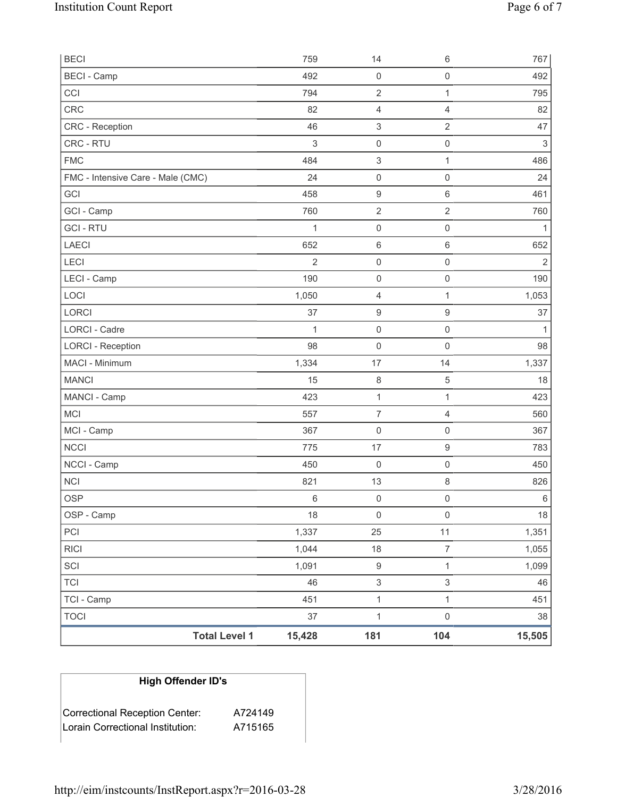| <b>BECI</b> - Camp<br>492<br>$\mathbf 0$<br>$\mathsf{O}\xspace$<br>CCI<br>794<br>$\overline{2}$<br>1<br>CRC<br>82<br>4<br>4<br>$\ensuremath{\mathsf{3}}$<br>$\overline{2}$<br>CRC - Reception<br>46<br>CRC - RTU<br>3<br>$\mathsf{O}\xspace$<br>$\mathsf 0$<br><b>FMC</b><br>484<br>$\ensuremath{\mathsf{3}}$<br>1<br>FMC - Intensive Care - Male (CMC)<br>24<br>$\mathsf 0$<br>0<br>GCI<br>458<br>$\boldsymbol{9}$<br>6<br>$\sqrt{2}$<br>$\overline{2}$<br>GCI - Camp<br>760<br><b>GCI-RTU</b><br>$\mathsf 0$<br>$\mathsf{O}\xspace$<br>1<br><b>LAECI</b><br>652<br>$\,6\,$<br>6<br>LECI<br>$\overline{2}$<br>$\mathsf 0$<br>0<br>190<br>LECI - Camp<br>$\mathsf{O}\xspace$<br>$\mathsf 0$<br>LOCI<br>1<br>1,050<br>$\overline{4}$<br>$\mathsf g$<br><b>LORCI</b><br>37<br>$\boldsymbol{9}$<br>LORCI - Cadre<br>$\mathbf{1}$<br>$\mathsf{O}\xspace$<br>$\mathsf{O}\xspace$<br>98<br><b>LORCI - Reception</b><br>$\mathbf 0$<br>$\mathbf 0$<br>MACI - Minimum<br>1,334<br>17<br>14<br><b>MANCI</b><br>15<br>$\,8\,$<br>$\mathbf 5$<br>$\mathbf 1$<br>MANCI - Camp<br>423<br>1<br>MCI<br>$\overline{7}$<br>557<br>$\overline{4}$<br>MCI - Camp<br>367<br>$\mathbf 0$<br>$\mathsf{O}\xspace$<br><b>NCCI</b><br>$\hbox{9}$<br>775<br>17<br>NCCI - Camp<br>450<br>$\mathbf 0$<br>$\mathsf{O}\xspace$<br><b>NCI</b><br>13<br>8<br>821<br><b>OSP</b><br>$\,6\,$<br>$\mathbf 0$<br>$\mathsf{O}\xspace$<br>OSP - Camp<br>18<br>$\mathsf{O}\xspace$<br>$\mathbf 0$<br>1,337<br>11<br>PCI<br>25<br><b>RICI</b><br>1,044<br>18<br>7<br>SCI<br>$\boldsymbol{9}$<br>$\mathbf{1}$<br>1,091<br><b>TCI</b><br>$\ensuremath{\mathsf{3}}$<br>3<br>46<br>TCI - Camp<br>451<br>$\mathbf{1}$<br>$\mathbf 1$<br>$\mathbf 1$<br><b>TOCI</b><br>37<br>$\mathsf{O}\xspace$ | <b>Total Level 1</b> | 15,428 | 181 | 104 | 15,505         |
|---------------------------------------------------------------------------------------------------------------------------------------------------------------------------------------------------------------------------------------------------------------------------------------------------------------------------------------------------------------------------------------------------------------------------------------------------------------------------------------------------------------------------------------------------------------------------------------------------------------------------------------------------------------------------------------------------------------------------------------------------------------------------------------------------------------------------------------------------------------------------------------------------------------------------------------------------------------------------------------------------------------------------------------------------------------------------------------------------------------------------------------------------------------------------------------------------------------------------------------------------------------------------------------------------------------------------------------------------------------------------------------------------------------------------------------------------------------------------------------------------------------------------------------------------------------------------------------------------------------------------------------------------------------------------------------------------------------------------------------------------|----------------------|--------|-----|-----|----------------|
|                                                                                                                                                                                                                                                                                                                                                                                                                                                                                                                                                                                                                                                                                                                                                                                                                                                                                                                                                                                                                                                                                                                                                                                                                                                                                                                                                                                                                                                                                                                                                                                                                                                                                                                                                   |                      |        |     |     | 38             |
|                                                                                                                                                                                                                                                                                                                                                                                                                                                                                                                                                                                                                                                                                                                                                                                                                                                                                                                                                                                                                                                                                                                                                                                                                                                                                                                                                                                                                                                                                                                                                                                                                                                                                                                                                   |                      |        |     |     | 451            |
|                                                                                                                                                                                                                                                                                                                                                                                                                                                                                                                                                                                                                                                                                                                                                                                                                                                                                                                                                                                                                                                                                                                                                                                                                                                                                                                                                                                                                                                                                                                                                                                                                                                                                                                                                   |                      |        |     |     | 46             |
|                                                                                                                                                                                                                                                                                                                                                                                                                                                                                                                                                                                                                                                                                                                                                                                                                                                                                                                                                                                                                                                                                                                                                                                                                                                                                                                                                                                                                                                                                                                                                                                                                                                                                                                                                   |                      |        |     |     | 1,099          |
|                                                                                                                                                                                                                                                                                                                                                                                                                                                                                                                                                                                                                                                                                                                                                                                                                                                                                                                                                                                                                                                                                                                                                                                                                                                                                                                                                                                                                                                                                                                                                                                                                                                                                                                                                   |                      |        |     |     | 1,055          |
|                                                                                                                                                                                                                                                                                                                                                                                                                                                                                                                                                                                                                                                                                                                                                                                                                                                                                                                                                                                                                                                                                                                                                                                                                                                                                                                                                                                                                                                                                                                                                                                                                                                                                                                                                   |                      |        |     |     | 1,351          |
|                                                                                                                                                                                                                                                                                                                                                                                                                                                                                                                                                                                                                                                                                                                                                                                                                                                                                                                                                                                                                                                                                                                                                                                                                                                                                                                                                                                                                                                                                                                                                                                                                                                                                                                                                   |                      |        |     |     | $18\,$         |
|                                                                                                                                                                                                                                                                                                                                                                                                                                                                                                                                                                                                                                                                                                                                                                                                                                                                                                                                                                                                                                                                                                                                                                                                                                                                                                                                                                                                                                                                                                                                                                                                                                                                                                                                                   |                      |        |     |     | 6              |
|                                                                                                                                                                                                                                                                                                                                                                                                                                                                                                                                                                                                                                                                                                                                                                                                                                                                                                                                                                                                                                                                                                                                                                                                                                                                                                                                                                                                                                                                                                                                                                                                                                                                                                                                                   |                      |        |     |     | 826            |
|                                                                                                                                                                                                                                                                                                                                                                                                                                                                                                                                                                                                                                                                                                                                                                                                                                                                                                                                                                                                                                                                                                                                                                                                                                                                                                                                                                                                                                                                                                                                                                                                                                                                                                                                                   |                      |        |     |     | 450            |
|                                                                                                                                                                                                                                                                                                                                                                                                                                                                                                                                                                                                                                                                                                                                                                                                                                                                                                                                                                                                                                                                                                                                                                                                                                                                                                                                                                                                                                                                                                                                                                                                                                                                                                                                                   |                      |        |     |     | 783            |
|                                                                                                                                                                                                                                                                                                                                                                                                                                                                                                                                                                                                                                                                                                                                                                                                                                                                                                                                                                                                                                                                                                                                                                                                                                                                                                                                                                                                                                                                                                                                                                                                                                                                                                                                                   |                      |        |     |     | 367            |
|                                                                                                                                                                                                                                                                                                                                                                                                                                                                                                                                                                                                                                                                                                                                                                                                                                                                                                                                                                                                                                                                                                                                                                                                                                                                                                                                                                                                                                                                                                                                                                                                                                                                                                                                                   |                      |        |     |     | 560            |
|                                                                                                                                                                                                                                                                                                                                                                                                                                                                                                                                                                                                                                                                                                                                                                                                                                                                                                                                                                                                                                                                                                                                                                                                                                                                                                                                                                                                                                                                                                                                                                                                                                                                                                                                                   |                      |        |     |     | 423            |
|                                                                                                                                                                                                                                                                                                                                                                                                                                                                                                                                                                                                                                                                                                                                                                                                                                                                                                                                                                                                                                                                                                                                                                                                                                                                                                                                                                                                                                                                                                                                                                                                                                                                                                                                                   |                      |        |     |     | 18             |
|                                                                                                                                                                                                                                                                                                                                                                                                                                                                                                                                                                                                                                                                                                                                                                                                                                                                                                                                                                                                                                                                                                                                                                                                                                                                                                                                                                                                                                                                                                                                                                                                                                                                                                                                                   |                      |        |     |     | 1,337          |
|                                                                                                                                                                                                                                                                                                                                                                                                                                                                                                                                                                                                                                                                                                                                                                                                                                                                                                                                                                                                                                                                                                                                                                                                                                                                                                                                                                                                                                                                                                                                                                                                                                                                                                                                                   |                      |        |     |     | 98             |
|                                                                                                                                                                                                                                                                                                                                                                                                                                                                                                                                                                                                                                                                                                                                                                                                                                                                                                                                                                                                                                                                                                                                                                                                                                                                                                                                                                                                                                                                                                                                                                                                                                                                                                                                                   |                      |        |     |     | $\mathbf{1}$   |
|                                                                                                                                                                                                                                                                                                                                                                                                                                                                                                                                                                                                                                                                                                                                                                                                                                                                                                                                                                                                                                                                                                                                                                                                                                                                                                                                                                                                                                                                                                                                                                                                                                                                                                                                                   |                      |        |     |     | 37             |
|                                                                                                                                                                                                                                                                                                                                                                                                                                                                                                                                                                                                                                                                                                                                                                                                                                                                                                                                                                                                                                                                                                                                                                                                                                                                                                                                                                                                                                                                                                                                                                                                                                                                                                                                                   |                      |        |     |     | 1,053          |
|                                                                                                                                                                                                                                                                                                                                                                                                                                                                                                                                                                                                                                                                                                                                                                                                                                                                                                                                                                                                                                                                                                                                                                                                                                                                                                                                                                                                                                                                                                                                                                                                                                                                                                                                                   |                      |        |     |     | 190            |
|                                                                                                                                                                                                                                                                                                                                                                                                                                                                                                                                                                                                                                                                                                                                                                                                                                                                                                                                                                                                                                                                                                                                                                                                                                                                                                                                                                                                                                                                                                                                                                                                                                                                                                                                                   |                      |        |     |     | $\overline{2}$ |
|                                                                                                                                                                                                                                                                                                                                                                                                                                                                                                                                                                                                                                                                                                                                                                                                                                                                                                                                                                                                                                                                                                                                                                                                                                                                                                                                                                                                                                                                                                                                                                                                                                                                                                                                                   |                      |        |     |     | 652            |
|                                                                                                                                                                                                                                                                                                                                                                                                                                                                                                                                                                                                                                                                                                                                                                                                                                                                                                                                                                                                                                                                                                                                                                                                                                                                                                                                                                                                                                                                                                                                                                                                                                                                                                                                                   |                      |        |     |     | 1              |
|                                                                                                                                                                                                                                                                                                                                                                                                                                                                                                                                                                                                                                                                                                                                                                                                                                                                                                                                                                                                                                                                                                                                                                                                                                                                                                                                                                                                                                                                                                                                                                                                                                                                                                                                                   |                      |        |     |     | 760            |
|                                                                                                                                                                                                                                                                                                                                                                                                                                                                                                                                                                                                                                                                                                                                                                                                                                                                                                                                                                                                                                                                                                                                                                                                                                                                                                                                                                                                                                                                                                                                                                                                                                                                                                                                                   |                      |        |     |     | 461            |
|                                                                                                                                                                                                                                                                                                                                                                                                                                                                                                                                                                                                                                                                                                                                                                                                                                                                                                                                                                                                                                                                                                                                                                                                                                                                                                                                                                                                                                                                                                                                                                                                                                                                                                                                                   |                      |        |     |     | 486<br>24      |
|                                                                                                                                                                                                                                                                                                                                                                                                                                                                                                                                                                                                                                                                                                                                                                                                                                                                                                                                                                                                                                                                                                                                                                                                                                                                                                                                                                                                                                                                                                                                                                                                                                                                                                                                                   |                      |        |     |     | $\,$ 3 $\,$    |
|                                                                                                                                                                                                                                                                                                                                                                                                                                                                                                                                                                                                                                                                                                                                                                                                                                                                                                                                                                                                                                                                                                                                                                                                                                                                                                                                                                                                                                                                                                                                                                                                                                                                                                                                                   |                      |        |     |     | 47             |
|                                                                                                                                                                                                                                                                                                                                                                                                                                                                                                                                                                                                                                                                                                                                                                                                                                                                                                                                                                                                                                                                                                                                                                                                                                                                                                                                                                                                                                                                                                                                                                                                                                                                                                                                                   |                      |        |     |     | 82             |
|                                                                                                                                                                                                                                                                                                                                                                                                                                                                                                                                                                                                                                                                                                                                                                                                                                                                                                                                                                                                                                                                                                                                                                                                                                                                                                                                                                                                                                                                                                                                                                                                                                                                                                                                                   |                      |        |     |     | 795            |
|                                                                                                                                                                                                                                                                                                                                                                                                                                                                                                                                                                                                                                                                                                                                                                                                                                                                                                                                                                                                                                                                                                                                                                                                                                                                                                                                                                                                                                                                                                                                                                                                                                                                                                                                                   |                      |        |     |     | 492            |
| <b>BECI</b><br>759<br>14<br>6                                                                                                                                                                                                                                                                                                                                                                                                                                                                                                                                                                                                                                                                                                                                                                                                                                                                                                                                                                                                                                                                                                                                                                                                                                                                                                                                                                                                                                                                                                                                                                                                                                                                                                                     |                      |        |     |     | 767            |

# **High Offender ID's**

| Correctional Reception Center:   | A724149 |
|----------------------------------|---------|
| Lorain Correctional Institution: | A715165 |